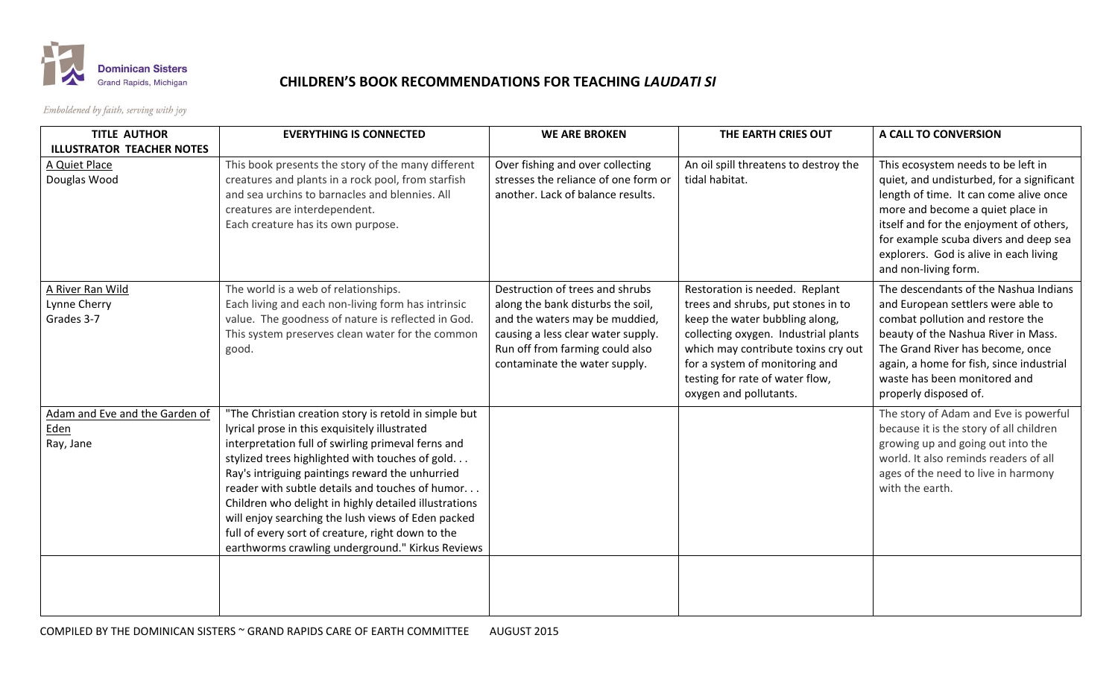

## **CHILDREN'S BOOK RECOMMENDATIONS FOR TEACHING** *LAUDATI SI*

Emboldened by faith, serving with joy

| <b>TITLE AUTHOR</b>                                 | <b>EVERYTHING IS CONNECTED</b>                                                                                                                                                                                                                                                                                                                                                                                                                                                                                                                 | <b>WE ARE BROKEN</b>                                                                                                                                                                                             | THE EARTH CRIES OUT                                                                                                                                                                                                                                                                  | A CALL TO CONVERSION                                                                                                                                                                                                                                                                                                |
|-----------------------------------------------------|------------------------------------------------------------------------------------------------------------------------------------------------------------------------------------------------------------------------------------------------------------------------------------------------------------------------------------------------------------------------------------------------------------------------------------------------------------------------------------------------------------------------------------------------|------------------------------------------------------------------------------------------------------------------------------------------------------------------------------------------------------------------|--------------------------------------------------------------------------------------------------------------------------------------------------------------------------------------------------------------------------------------------------------------------------------------|---------------------------------------------------------------------------------------------------------------------------------------------------------------------------------------------------------------------------------------------------------------------------------------------------------------------|
| <b>ILLUSTRATOR TEACHER NOTES</b>                    |                                                                                                                                                                                                                                                                                                                                                                                                                                                                                                                                                |                                                                                                                                                                                                                  |                                                                                                                                                                                                                                                                                      |                                                                                                                                                                                                                                                                                                                     |
| A Quiet Place<br>Douglas Wood                       | This book presents the story of the many different<br>creatures and plants in a rock pool, from starfish<br>and sea urchins to barnacles and blennies. All<br>creatures are interdependent.<br>Each creature has its own purpose.                                                                                                                                                                                                                                                                                                              | Over fishing and over collecting<br>stresses the reliance of one form or<br>another. Lack of balance results.                                                                                                    | An oil spill threatens to destroy the<br>tidal habitat.                                                                                                                                                                                                                              | This ecosystem needs to be left in<br>quiet, and undisturbed, for a significant<br>length of time. It can come alive once<br>more and become a quiet place in<br>itself and for the enjoyment of others,<br>for example scuba divers and deep sea<br>explorers. God is alive in each living<br>and non-living form. |
| A River Ran Wild<br>Lynne Cherry<br>Grades 3-7      | The world is a web of relationships.<br>Each living and each non-living form has intrinsic<br>value. The goodness of nature is reflected in God.<br>This system preserves clean water for the common<br>good.                                                                                                                                                                                                                                                                                                                                  | Destruction of trees and shrubs<br>along the bank disturbs the soil,<br>and the waters may be muddied,<br>causing a less clear water supply.<br>Run off from farming could also<br>contaminate the water supply. | Restoration is needed. Replant<br>trees and shrubs, put stones in to<br>keep the water bubbling along,<br>collecting oxygen. Industrial plants<br>which may contribute toxins cry out<br>for a system of monitoring and<br>testing for rate of water flow,<br>oxygen and pollutants. | The descendants of the Nashua Indians<br>and European settlers were able to<br>combat pollution and restore the<br>beauty of the Nashua River in Mass.<br>The Grand River has become, once<br>again, a home for fish, since industrial<br>waste has been monitored and<br>properly disposed of.                     |
| Adam and Eve and the Garden of<br>Eden<br>Ray, Jane | "The Christian creation story is retold in simple but<br>lyrical prose in this exquisitely illustrated<br>interpretation full of swirling primeval ferns and<br>stylized trees highlighted with touches of gold.<br>Ray's intriguing paintings reward the unhurried<br>reader with subtle details and touches of humor<br>Children who delight in highly detailed illustrations<br>will enjoy searching the lush views of Eden packed<br>full of every sort of creature, right down to the<br>earthworms crawling underground." Kirkus Reviews |                                                                                                                                                                                                                  |                                                                                                                                                                                                                                                                                      | The story of Adam and Eve is powerful<br>because it is the story of all children<br>growing up and going out into the<br>world. It also reminds readers of all<br>ages of the need to live in harmony<br>with the earth.                                                                                            |
|                                                     |                                                                                                                                                                                                                                                                                                                                                                                                                                                                                                                                                |                                                                                                                                                                                                                  |                                                                                                                                                                                                                                                                                      |                                                                                                                                                                                                                                                                                                                     |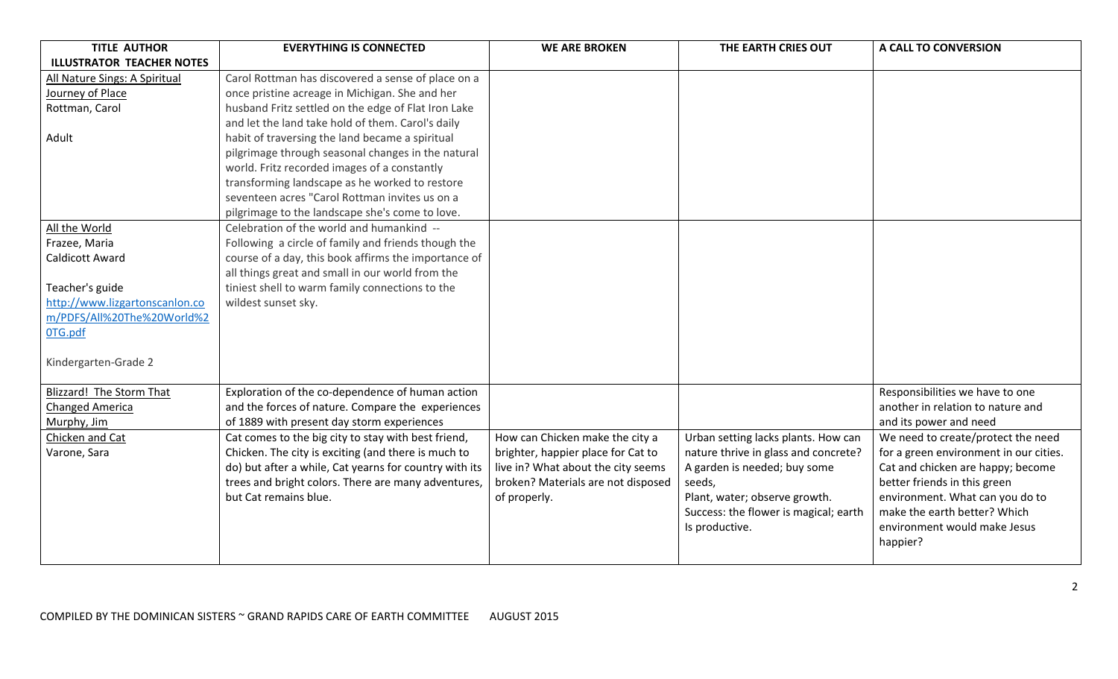| <b>TITLE AUTHOR</b>              | <b>EVERYTHING IS CONNECTED</b>                         | <b>WE ARE BROKEN</b>               | THE EARTH CRIES OUT                   | A CALL TO CONVERSION                   |
|----------------------------------|--------------------------------------------------------|------------------------------------|---------------------------------------|----------------------------------------|
| <b>ILLUSTRATOR TEACHER NOTES</b> |                                                        |                                    |                                       |                                        |
| All Nature Sings: A Spiritual    | Carol Rottman has discovered a sense of place on a     |                                    |                                       |                                        |
| Journey of Place                 | once pristine acreage in Michigan. She and her         |                                    |                                       |                                        |
| Rottman, Carol                   | husband Fritz settled on the edge of Flat Iron Lake    |                                    |                                       |                                        |
|                                  | and let the land take hold of them. Carol's daily      |                                    |                                       |                                        |
| Adult                            | habit of traversing the land became a spiritual        |                                    |                                       |                                        |
|                                  | pilgrimage through seasonal changes in the natural     |                                    |                                       |                                        |
|                                  | world. Fritz recorded images of a constantly           |                                    |                                       |                                        |
|                                  | transforming landscape as he worked to restore         |                                    |                                       |                                        |
|                                  | seventeen acres "Carol Rottman invites us on a         |                                    |                                       |                                        |
|                                  | pilgrimage to the landscape she's come to love.        |                                    |                                       |                                        |
| All the World                    | Celebration of the world and humankind --              |                                    |                                       |                                        |
| Frazee, Maria                    | Following a circle of family and friends though the    |                                    |                                       |                                        |
| Caldicott Award                  | course of a day, this book affirms the importance of   |                                    |                                       |                                        |
|                                  | all things great and small in our world from the       |                                    |                                       |                                        |
| Teacher's guide                  | tiniest shell to warm family connections to the        |                                    |                                       |                                        |
| http://www.lizgartonscanlon.co   | wildest sunset sky.                                    |                                    |                                       |                                        |
| m/PDFS/All%20The%20World%2       |                                                        |                                    |                                       |                                        |
| OTG.pdf                          |                                                        |                                    |                                       |                                        |
|                                  |                                                        |                                    |                                       |                                        |
| Kindergarten-Grade 2             |                                                        |                                    |                                       |                                        |
|                                  |                                                        |                                    |                                       |                                        |
| <b>Blizzard! The Storm That</b>  | Exploration of the co-dependence of human action       |                                    |                                       | Responsibilities we have to one        |
| Changed America                  | and the forces of nature. Compare the experiences      |                                    |                                       | another in relation to nature and      |
| Murphy, Jim                      | of 1889 with present day storm experiences             |                                    |                                       | and its power and need                 |
| Chicken and Cat                  | Cat comes to the big city to stay with best friend,    | How can Chicken make the city a    | Urban setting lacks plants. How can   | We need to create/protect the need     |
| Varone, Sara                     | Chicken. The city is exciting (and there is much to    | brighter, happier place for Cat to | nature thrive in glass and concrete?  | for a green environment in our cities. |
|                                  | do) but after a while, Cat yearns for country with its | live in? What about the city seems | A garden is needed; buy some          | Cat and chicken are happy; become      |
|                                  | trees and bright colors. There are many adventures,    | broken? Materials are not disposed | seeds,                                | better friends in this green           |
|                                  | but Cat remains blue.                                  | of properly.                       | Plant, water; observe growth.         | environment. What can you do to        |
|                                  |                                                        |                                    | Success: the flower is magical; earth | make the earth better? Which           |
|                                  |                                                        |                                    | Is productive.                        | environment would make Jesus           |
|                                  |                                                        |                                    |                                       | happier?                               |
|                                  |                                                        |                                    |                                       |                                        |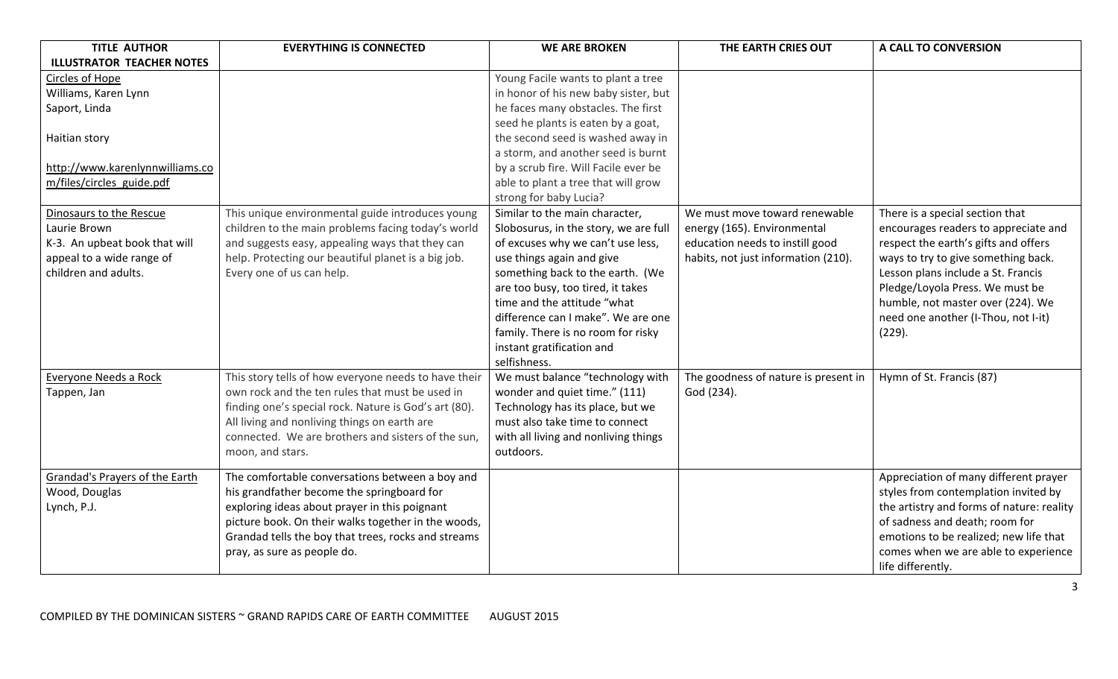| <b>TITLE AUTHOR</b>              | <b>EVERYTHING IS CONNECTED</b>                        | <b>WE ARE BROKEN</b>                  | THE EARTH CRIES OUT                  | A CALL TO CONVERSION                      |
|----------------------------------|-------------------------------------------------------|---------------------------------------|--------------------------------------|-------------------------------------------|
| <b>ILLUSTRATOR TEACHER NOTES</b> |                                                       |                                       |                                      |                                           |
| Circles of Hope                  |                                                       | Young Facile wants to plant a tree    |                                      |                                           |
| Williams, Karen Lynn             |                                                       | in honor of his new baby sister, but  |                                      |                                           |
| Saport, Linda                    |                                                       | he faces many obstacles. The first    |                                      |                                           |
|                                  |                                                       | seed he plants is eaten by a goat,    |                                      |                                           |
| Haitian story                    |                                                       | the second seed is washed away in     |                                      |                                           |
|                                  |                                                       | a storm, and another seed is burnt    |                                      |                                           |
| http://www.karenlynnwilliams.co  |                                                       | by a scrub fire. Will Facile ever be  |                                      |                                           |
| m/files/circles guide.pdf        |                                                       | able to plant a tree that will grow   |                                      |                                           |
|                                  |                                                       | strong for baby Lucia?                |                                      |                                           |
| Dinosaurs to the Rescue          | This unique environmental guide introduces young      | Similar to the main character,        | We must move toward renewable        | There is a special section that           |
| Laurie Brown                     | children to the main problems facing today's world    | Slobosurus, in the story, we are full | energy (165). Environmental          | encourages readers to appreciate and      |
| K-3. An upbeat book that will    | and suggests easy, appealing ways that they can       | of excuses why we can't use less,     | education needs to instill good      | respect the earth's gifts and offers      |
| appeal to a wide range of        | help. Protecting our beautiful planet is a big job.   | use things again and give             | habits, not just information (210).  | ways to try to give something back.       |
| children and adults.             | Every one of us can help.                             | something back to the earth. (We      |                                      | Lesson plans include a St. Francis        |
|                                  |                                                       | are too busy, too tired, it takes     |                                      | Pledge/Loyola Press. We must be           |
|                                  |                                                       | time and the attitude "what           |                                      | humble, not master over (224). We         |
|                                  |                                                       | difference can I make". We are one    |                                      | need one another (I-Thou, not I-it)       |
|                                  |                                                       | family. There is no room for risky    |                                      | (229).                                    |
|                                  |                                                       | instant gratification and             |                                      |                                           |
|                                  |                                                       | selfishness.                          |                                      |                                           |
| Everyone Needs a Rock            | This story tells of how everyone needs to have their  | We must balance "technology with      | The goodness of nature is present in | Hymn of St. Francis (87)                  |
| Tappen, Jan                      | own rock and the ten rules that must be used in       | wonder and quiet time." (111)         | God (234).                           |                                           |
|                                  | finding one's special rock. Nature is God's art (80). | Technology has its place, but we      |                                      |                                           |
|                                  | All living and nonliving things on earth are          | must also take time to connect        |                                      |                                           |
|                                  | connected. We are brothers and sisters of the sun,    | with all living and nonliving things  |                                      |                                           |
|                                  | moon, and stars.                                      | outdoors.                             |                                      |                                           |
| Grandad's Prayers of the Earth   | The comfortable conversations between a boy and       |                                       |                                      | Appreciation of many different prayer     |
| Wood, Douglas                    | his grandfather become the springboard for            |                                       |                                      | styles from contemplation invited by      |
| Lynch, P.J.                      | exploring ideas about prayer in this poignant         |                                       |                                      | the artistry and forms of nature: reality |
|                                  | picture book. On their walks together in the woods,   |                                       |                                      | of sadness and death; room for            |
|                                  | Grandad tells the boy that trees, rocks and streams   |                                       |                                      | emotions to be realized; new life that    |
|                                  | pray, as sure as people do.                           |                                       |                                      | comes when we are able to experience      |
|                                  |                                                       |                                       |                                      | life differently.                         |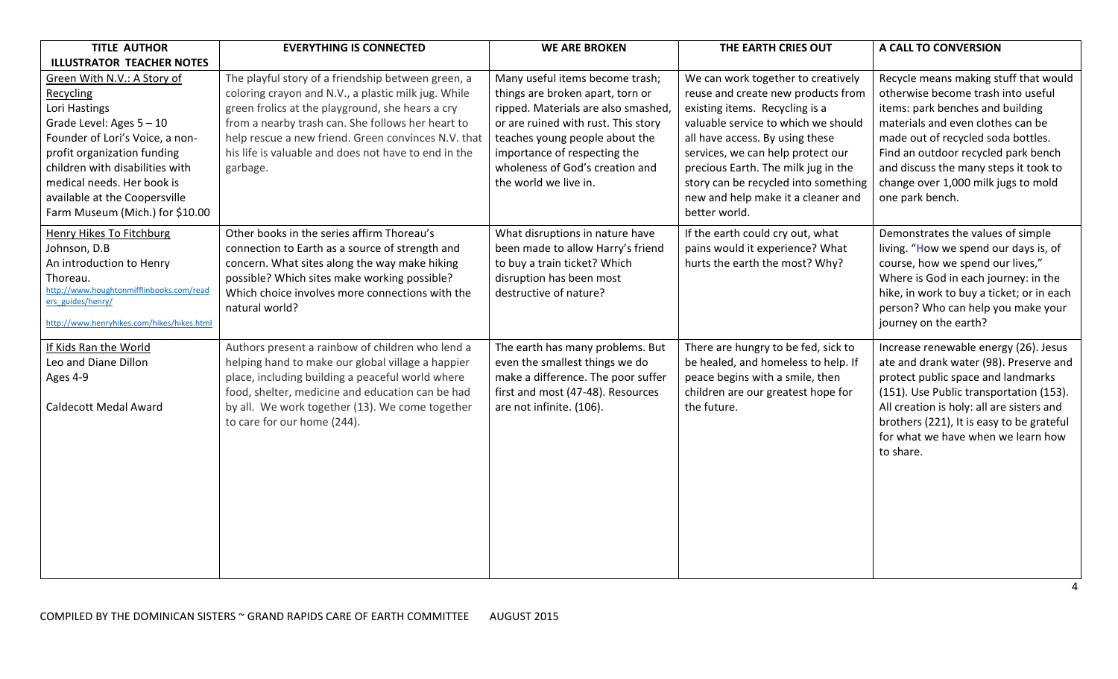| <b>TITLE AUTHOR</b>                                                                                                                                                                                                                                                                            | <b>EVERYTHING IS CONNECTED</b>                                                                                                                                                                                                                                                                                                                | <b>WE ARE BROKEN</b>                                                                                                                                                                                                                                                           | THE EARTH CRIES OUT                                                                                                                                                                                                                                                                                                                                             | A CALL TO CONVERSION                                                                                                                                                                                                                                                                                                                 |
|------------------------------------------------------------------------------------------------------------------------------------------------------------------------------------------------------------------------------------------------------------------------------------------------|-----------------------------------------------------------------------------------------------------------------------------------------------------------------------------------------------------------------------------------------------------------------------------------------------------------------------------------------------|--------------------------------------------------------------------------------------------------------------------------------------------------------------------------------------------------------------------------------------------------------------------------------|-----------------------------------------------------------------------------------------------------------------------------------------------------------------------------------------------------------------------------------------------------------------------------------------------------------------------------------------------------------------|--------------------------------------------------------------------------------------------------------------------------------------------------------------------------------------------------------------------------------------------------------------------------------------------------------------------------------------|
| <b>ILLUSTRATOR TEACHER NOTES</b>                                                                                                                                                                                                                                                               |                                                                                                                                                                                                                                                                                                                                               |                                                                                                                                                                                                                                                                                |                                                                                                                                                                                                                                                                                                                                                                 |                                                                                                                                                                                                                                                                                                                                      |
| Green With N.V.: A Story of<br>Recycling<br>Lori Hastings<br>Grade Level: Ages $5 - 10$<br>Founder of Lori's Voice, a non-<br>profit organization funding<br>children with disabilities with<br>medical needs. Her book is<br>available at the Coopersville<br>Farm Museum (Mich.) for \$10.00 | The playful story of a friendship between green, a<br>coloring crayon and N.V., a plastic milk jug. While<br>green frolics at the playground, she hears a cry<br>from a nearby trash can. She follows her heart to<br>help rescue a new friend. Green convinces N.V. that<br>his life is valuable and does not have to end in the<br>garbage. | Many useful items become trash;<br>things are broken apart, torn or<br>ripped. Materials are also smashed<br>or are ruined with rust. This story<br>teaches young people about the<br>importance of respecting the<br>wholeness of God's creation and<br>the world we live in. | We can work together to creatively<br>reuse and create new products from<br>existing items. Recycling is a<br>valuable service to which we should<br>all have access. By using these<br>services, we can help protect our<br>precious Earth. The milk jug in the<br>story can be recycled into something<br>new and help make it a cleaner and<br>better world. | Recycle means making stuff that would<br>otherwise become trash into useful<br>items: park benches and building<br>materials and even clothes can be<br>made out of recycled soda bottles.<br>Find an outdoor recycled park bench<br>and discuss the many steps it took to<br>change over 1,000 milk jugs to mold<br>one park bench. |
| Henry Hikes To Fitchburg<br>Johnson, D.B<br>An introduction to Henry<br>Thoreau.<br>http://www.houghtonmifflinbooks.com/read<br>ers guides/henry/<br>http://www.henryhikes.com/hikes/hikes.html                                                                                                | Other books in the series affirm Thoreau's<br>connection to Earth as a source of strength and<br>concern. What sites along the way make hiking<br>possible? Which sites make working possible?<br>Which choice involves more connections with the<br>natural world?                                                                           | What disruptions in nature have<br>been made to allow Harry's friend<br>to buy a train ticket? Which<br>disruption has been most<br>destructive of nature?                                                                                                                     | If the earth could cry out, what<br>pains would it experience? What<br>hurts the earth the most? Why?                                                                                                                                                                                                                                                           | Demonstrates the values of simple<br>living. "How we spend our days is, of<br>course, how we spend our lives,"<br>Where is God in each journey: in the<br>hike, in work to buy a ticket; or in each<br>person? Who can help you make your<br>journey on the earth?                                                                   |
| If Kids Ran the World<br>Leo and Diane Dillon<br>Ages 4-9<br><b>Caldecott Medal Award</b>                                                                                                                                                                                                      | Authors present a rainbow of children who lend a<br>helping hand to make our global village a happier<br>place, including building a peaceful world where<br>food, shelter, medicine and education can be had<br>by all. We work together (13). We come together<br>to care for our home (244).                                               | The earth has many problems. But<br>even the smallest things we do<br>make a difference. The poor suffer<br>first and most (47-48). Resources<br>are not infinite. (106).                                                                                                      | There are hungry to be fed, sick to<br>be healed, and homeless to help. If<br>peace begins with a smile, then<br>children are our greatest hope for<br>the future.                                                                                                                                                                                              | Increase renewable energy (26). Jesus<br>ate and drank water (98). Preserve and<br>protect public space and landmarks<br>(151). Use Public transportation (153).<br>All creation is holy: all are sisters and<br>brothers (221), It is easy to be grateful<br>for what we have when we learn how<br>to share.                        |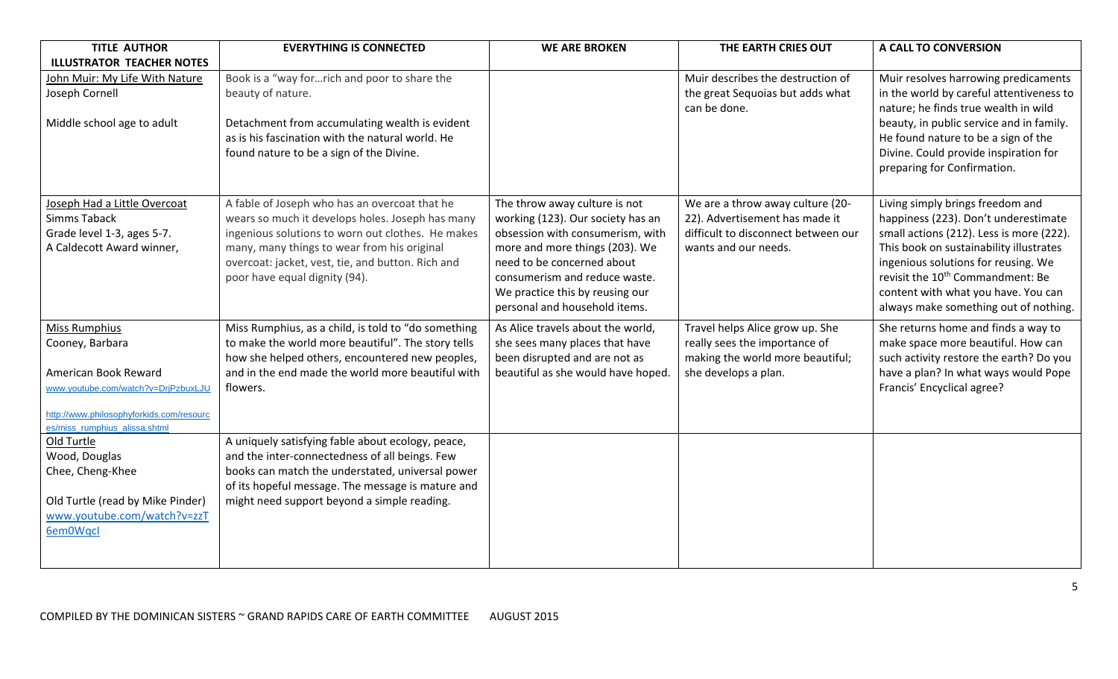| <b>TITLE AUTHOR</b>                                     | <b>EVERYTHING IS CONNECTED</b>                                                                   | <b>WE ARE BROKEN</b>                                               | THE EARTH CRIES OUT                                         | A CALL TO CONVERSION                                                                |
|---------------------------------------------------------|--------------------------------------------------------------------------------------------------|--------------------------------------------------------------------|-------------------------------------------------------------|-------------------------------------------------------------------------------------|
| <b>ILLUSTRATOR TEACHER NOTES</b>                        |                                                                                                  |                                                                    |                                                             |                                                                                     |
| John Muir: My Life With Nature                          | Book is a "way forrich and poor to share the                                                     |                                                                    | Muir describes the destruction of                           | Muir resolves harrowing predicaments                                                |
| Joseph Cornell                                          | beauty of nature.                                                                                |                                                                    | the great Sequoias but adds what                            | in the world by careful attentiveness to                                            |
|                                                         |                                                                                                  |                                                                    | can be done.                                                | nature; he finds true wealth in wild                                                |
| Middle school age to adult                              | Detachment from accumulating wealth is evident                                                   |                                                                    |                                                             | beauty, in public service and in family.                                            |
|                                                         | as is his fascination with the natural world. He                                                 |                                                                    |                                                             | He found nature to be a sign of the                                                 |
|                                                         | found nature to be a sign of the Divine.                                                         |                                                                    |                                                             | Divine. Could provide inspiration for                                               |
|                                                         |                                                                                                  |                                                                    |                                                             | preparing for Confirmation.                                                         |
|                                                         |                                                                                                  |                                                                    |                                                             |                                                                                     |
| Joseph Had a Little Overcoat                            | A fable of Joseph who has an overcoat that he                                                    | The throw away culture is not                                      | We are a throw away culture (20-                            | Living simply brings freedom and                                                    |
| <b>Simms Taback</b>                                     | wears so much it develops holes. Joseph has many                                                 | working (123). Our society has an                                  | 22). Advertisement has made it                              | happiness (223). Don't underestimate                                                |
| Grade level 1-3, ages 5-7.<br>A Caldecott Award winner, | ingenious solutions to worn out clothes. He makes<br>many, many things to wear from his original | obsession with consumerism, with<br>more and more things (203). We | difficult to disconnect between our<br>wants and our needs. | small actions (212). Less is more (222).<br>This book on sustainability illustrates |
|                                                         | overcoat: jacket, vest, tie, and button. Rich and                                                | need to be concerned about                                         |                                                             | ingenious solutions for reusing. We                                                 |
|                                                         | poor have equal dignity (94).                                                                    | consumerism and reduce waste.                                      |                                                             | revisit the 10 <sup>th</sup> Commandment: Be                                        |
|                                                         |                                                                                                  | We practice this by reusing our                                    |                                                             | content with what you have. You can                                                 |
|                                                         |                                                                                                  | personal and household items.                                      |                                                             | always make something out of nothing.                                               |
| Miss Rumphius                                           | Miss Rumphius, as a child, is told to "do something                                              | As Alice travels about the world,                                  | Travel helps Alice grow up. She                             | She returns home and finds a way to                                                 |
| Cooney, Barbara                                         | to make the world more beautiful". The story tells                                               | she sees many places that have                                     | really sees the importance of                               | make space more beautiful. How can                                                  |
|                                                         | how she helped others, encountered new peoples,                                                  | been disrupted and are not as                                      | making the world more beautiful;                            | such activity restore the earth? Do you                                             |
| American Book Reward                                    | and in the end made the world more beautiful with                                                | beautiful as she would have hoped.                                 | she develops a plan.                                        | have a plan? In what ways would Pope                                                |
| www.youtube.com/watch?v=DrjPzbuxLJU                     | flowers.                                                                                         |                                                                    |                                                             | Francis' Encyclical agree?                                                          |
| http://www.philosophyforkids.com/resourc                |                                                                                                  |                                                                    |                                                             |                                                                                     |
| es/miss_rumphius_alissa.shtml                           |                                                                                                  |                                                                    |                                                             |                                                                                     |
| Old Turtle                                              | A uniquely satisfying fable about ecology, peace,                                                |                                                                    |                                                             |                                                                                     |
| Wood, Douglas                                           | and the inter-connectedness of all beings. Few                                                   |                                                                    |                                                             |                                                                                     |
| Chee, Cheng-Khee                                        | books can match the understated, universal power                                                 |                                                                    |                                                             |                                                                                     |
|                                                         | of its hopeful message. The message is mature and                                                |                                                                    |                                                             |                                                                                     |
| Old Turtle (read by Mike Pinder)                        | might need support beyond a simple reading.                                                      |                                                                    |                                                             |                                                                                     |
| www.youtube.com/watch?v=zzT                             |                                                                                                  |                                                                    |                                                             |                                                                                     |
| 6em0Wqcl                                                |                                                                                                  |                                                                    |                                                             |                                                                                     |
|                                                         |                                                                                                  |                                                                    |                                                             |                                                                                     |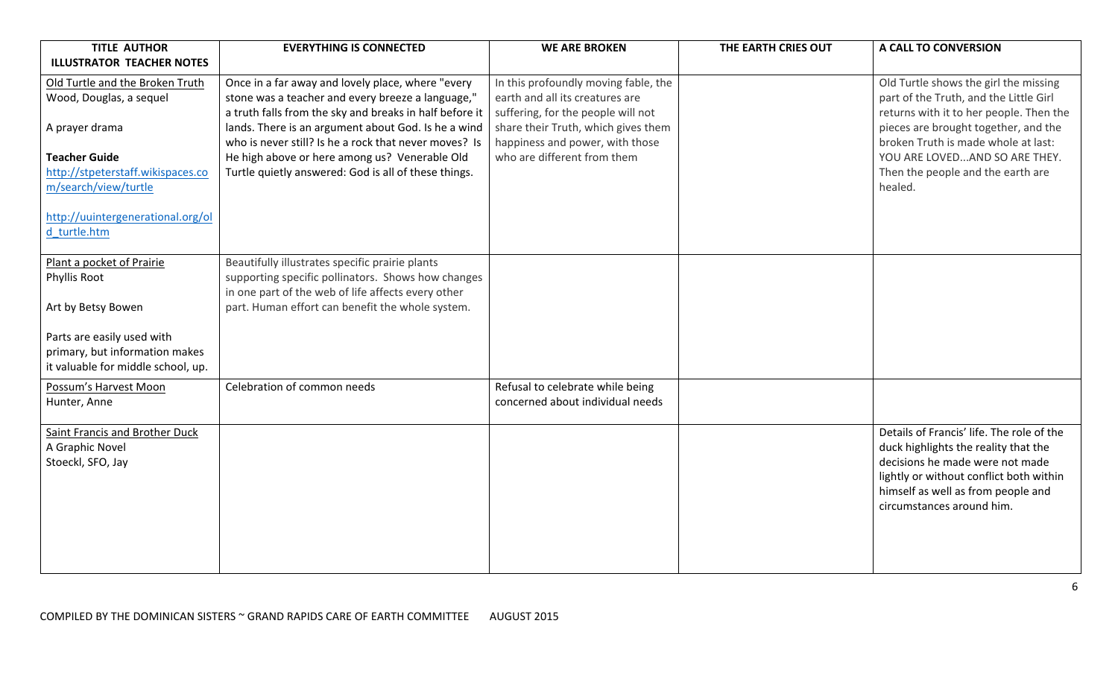| <b>TITLE AUTHOR</b>                | <b>EVERYTHING IS CONNECTED</b>                          | <b>WE ARE BROKEN</b>                 | THE EARTH CRIES OUT | A CALL TO CONVERSION                      |
|------------------------------------|---------------------------------------------------------|--------------------------------------|---------------------|-------------------------------------------|
| <b>ILLUSTRATOR TEACHER NOTES</b>   |                                                         |                                      |                     |                                           |
| Old Turtle and the Broken Truth    | Once in a far away and lovely place, where "every       | In this profoundly moving fable, the |                     | Old Turtle shows the girl the missing     |
| Wood, Douglas, a sequel            | stone was a teacher and every breeze a language,"       | earth and all its creatures are      |                     | part of the Truth, and the Little Girl    |
|                                    | a truth falls from the sky and breaks in half before it | suffering, for the people will not   |                     | returns with it to her people. Then the   |
| A prayer drama                     | lands. There is an argument about God. Is he a wind     | share their Truth, which gives them  |                     | pieces are brought together, and the      |
|                                    | who is never still? Is he a rock that never moves? Is   | happiness and power, with those      |                     | broken Truth is made whole at last:       |
| <b>Teacher Guide</b>               | He high above or here among us? Venerable Old           | who are different from them          |                     | YOU ARE LOVEDAND SO ARE THEY.             |
| http://stpeterstaff.wikispaces.co  | Turtle quietly answered: God is all of these things.    |                                      |                     | Then the people and the earth are         |
| m/search/view/turtle               |                                                         |                                      |                     | healed.                                   |
|                                    |                                                         |                                      |                     |                                           |
| http://uuintergenerational.org/ol  |                                                         |                                      |                     |                                           |
| d turtle.htm                       |                                                         |                                      |                     |                                           |
| Plant a pocket of Prairie          | Beautifully illustrates specific prairie plants         |                                      |                     |                                           |
| Phyllis Root                       | supporting specific pollinators. Shows how changes      |                                      |                     |                                           |
|                                    | in one part of the web of life affects every other      |                                      |                     |                                           |
| Art by Betsy Bowen                 | part. Human effort can benefit the whole system.        |                                      |                     |                                           |
|                                    |                                                         |                                      |                     |                                           |
| Parts are easily used with         |                                                         |                                      |                     |                                           |
| primary, but information makes     |                                                         |                                      |                     |                                           |
| it valuable for middle school, up. |                                                         |                                      |                     |                                           |
| Possum's Harvest Moon              | Celebration of common needs                             | Refusal to celebrate while being     |                     |                                           |
| Hunter, Anne                       |                                                         | concerned about individual needs     |                     |                                           |
|                                    |                                                         |                                      |                     |                                           |
| Saint Francis and Brother Duck     |                                                         |                                      |                     | Details of Francis' life. The role of the |
| A Graphic Novel                    |                                                         |                                      |                     | duck highlights the reality that the      |
| Stoeckl, SFO, Jay                  |                                                         |                                      |                     | decisions he made were not made           |
|                                    |                                                         |                                      |                     | lightly or without conflict both within   |
|                                    |                                                         |                                      |                     | himself as well as from people and        |
|                                    |                                                         |                                      |                     | circumstances around him.                 |
|                                    |                                                         |                                      |                     |                                           |
|                                    |                                                         |                                      |                     |                                           |
|                                    |                                                         |                                      |                     |                                           |
|                                    |                                                         |                                      |                     |                                           |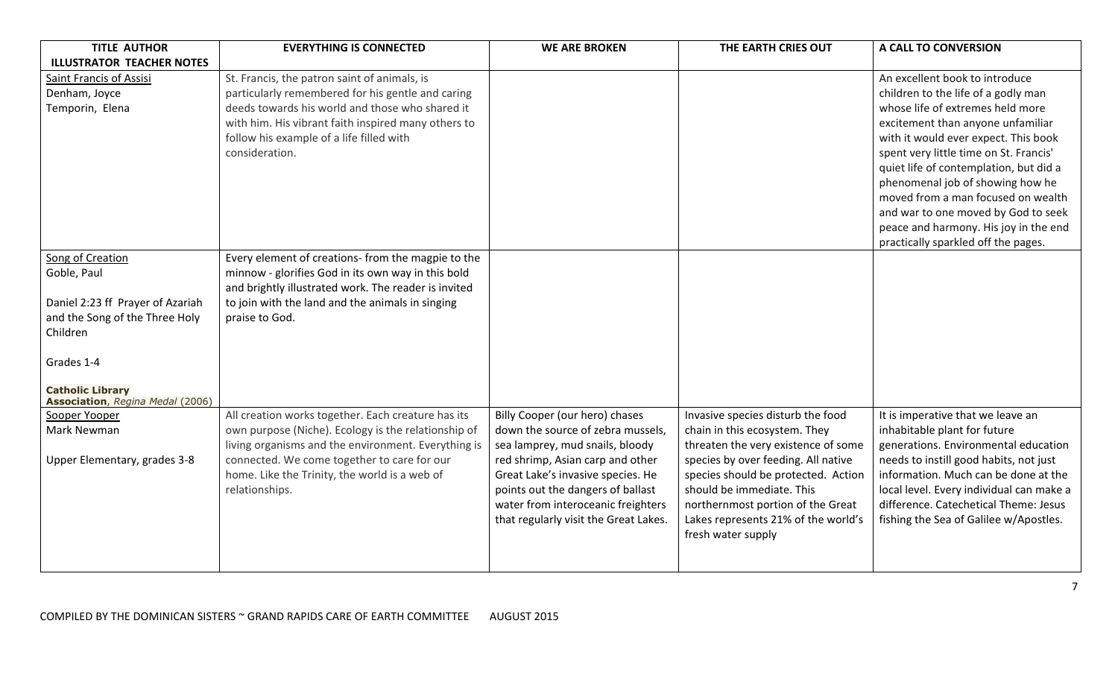| <b>TITLE AUTHOR</b>                                         | <b>EVERYTHING IS CONNECTED</b>                       | <b>WE ARE BROKEN</b>                  | THE EARTH CRIES OUT                 | A CALL TO CONVERSION                     |
|-------------------------------------------------------------|------------------------------------------------------|---------------------------------------|-------------------------------------|------------------------------------------|
| <b>ILLUSTRATOR TEACHER NOTES</b>                            |                                                      |                                       |                                     |                                          |
| Saint Francis of Assisi                                     | St. Francis, the patron saint of animals, is         |                                       |                                     | An excellent book to introduce           |
| Denham, Joyce                                               | particularly remembered for his gentle and caring    |                                       |                                     | children to the life of a godly man      |
| Temporin, Elena                                             | deeds towards his world and those who shared it      |                                       |                                     | whose life of extremes held more         |
|                                                             | with him. His vibrant faith inspired many others to  |                                       |                                     | excitement than anyone unfamiliar        |
|                                                             | follow his example of a life filled with             |                                       |                                     | with it would ever expect. This book     |
|                                                             | consideration.                                       |                                       |                                     | spent very little time on St. Francis'   |
|                                                             |                                                      |                                       |                                     | quiet life of contemplation, but did a   |
|                                                             |                                                      |                                       |                                     | phenomenal job of showing how he         |
|                                                             |                                                      |                                       |                                     | moved from a man focused on wealth       |
|                                                             |                                                      |                                       |                                     | and war to one moved by God to seek      |
|                                                             |                                                      |                                       |                                     | peace and harmony. His joy in the end    |
|                                                             |                                                      |                                       |                                     | practically sparkled off the pages.      |
| Song of Creation                                            | Every element of creations- from the magpie to the   |                                       |                                     |                                          |
| Goble, Paul                                                 | minnow - glorifies God in its own way in this bold   |                                       |                                     |                                          |
|                                                             | and brightly illustrated work. The reader is invited |                                       |                                     |                                          |
| Daniel 2:23 ff Prayer of Azariah                            | to join with the land and the animals in singing     |                                       |                                     |                                          |
| and the Song of the Three Holy                              | praise to God.                                       |                                       |                                     |                                          |
| Children                                                    |                                                      |                                       |                                     |                                          |
|                                                             |                                                      |                                       |                                     |                                          |
| Grades 1-4                                                  |                                                      |                                       |                                     |                                          |
|                                                             |                                                      |                                       |                                     |                                          |
| <b>Catholic Library</b><br>Association, Regina Medal (2006) |                                                      |                                       |                                     |                                          |
| Sooper Yooper                                               | All creation works together. Each creature has its   | Billy Cooper (our hero) chases        | Invasive species disturb the food   | It is imperative that we leave an        |
| Mark Newman                                                 | own purpose (Niche). Ecology is the relationship of  | down the source of zebra mussels,     | chain in this ecosystem. They       | inhabitable plant for future             |
|                                                             | living organisms and the environment. Everything is  | sea lamprey, mud snails, bloody       | threaten the very existence of some | generations. Environmental education     |
| Upper Elementary, grades 3-8                                | connected. We come together to care for our          | red shrimp, Asian carp and other      | species by over feeding. All native | needs to instill good habits, not just   |
|                                                             | home. Like the Trinity, the world is a web of        | Great Lake's invasive species. He     | species should be protected. Action | information. Much can be done at the     |
|                                                             | relationships.                                       | points out the dangers of ballast     | should be immediate. This           | local level. Every individual can make a |
|                                                             |                                                      | water from interoceanic freighters    | northernmost portion of the Great   | difference. Catechetical Theme: Jesus    |
|                                                             |                                                      | that regularly visit the Great Lakes. | Lakes represents 21% of the world's | fishing the Sea of Galilee w/Apostles.   |
|                                                             |                                                      |                                       | fresh water supply                  |                                          |
|                                                             |                                                      |                                       |                                     |                                          |
|                                                             |                                                      |                                       |                                     |                                          |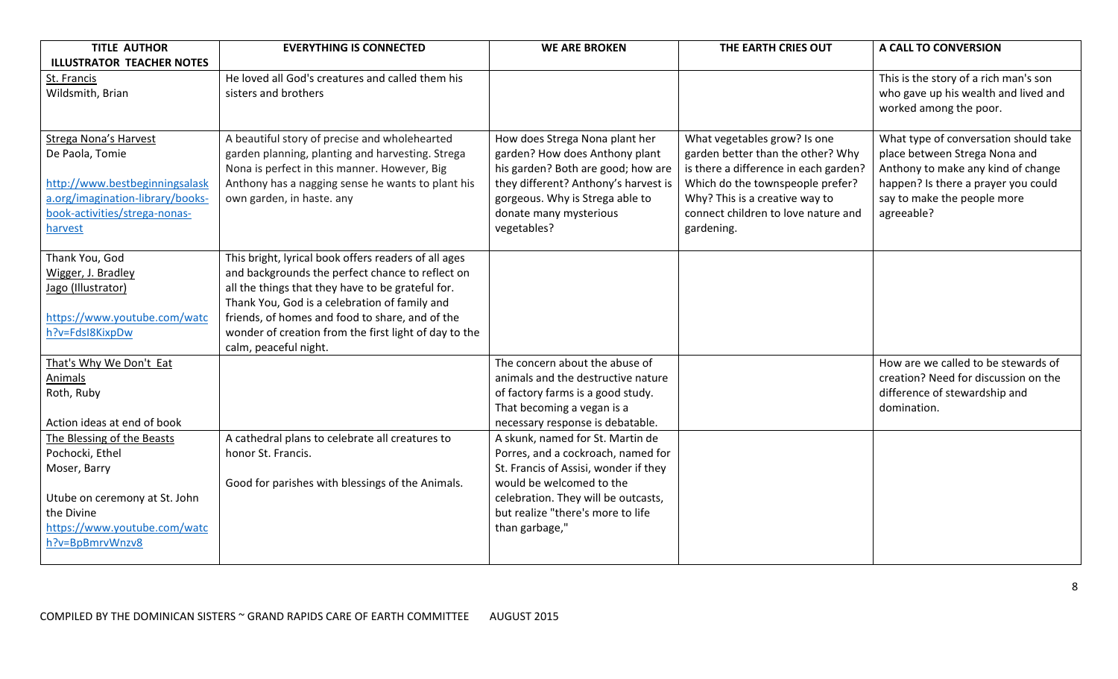| <b>TITLE AUTHOR</b>              | <b>EVERYTHING IS CONNECTED</b>                                        | <b>WE ARE BROKEN</b>                                                        | THE EARTH CRIES OUT                   | A CALL TO CONVERSION                  |
|----------------------------------|-----------------------------------------------------------------------|-----------------------------------------------------------------------------|---------------------------------------|---------------------------------------|
| <b>ILLUSTRATOR TEACHER NOTES</b> |                                                                       |                                                                             |                                       |                                       |
| St. Francis                      | He loved all God's creatures and called them his                      |                                                                             |                                       | This is the story of a rich man's son |
| Wildsmith, Brian                 | sisters and brothers                                                  |                                                                             |                                       | who gave up his wealth and lived and  |
|                                  |                                                                       |                                                                             |                                       | worked among the poor.                |
|                                  |                                                                       |                                                                             |                                       |                                       |
| Strega Nona's Harvest            | A beautiful story of precise and wholehearted                         | How does Strega Nona plant her                                              | What vegetables grow? Is one          | What type of conversation should take |
| De Paola, Tomie                  | garden planning, planting and harvesting. Strega                      | garden? How does Anthony plant                                              | garden better than the other? Why     | place between Strega Nona and         |
|                                  | Nona is perfect in this manner. However, Big                          | his garden? Both are good; how are                                          | is there a difference in each garden? | Anthony to make any kind of change    |
| http://www.bestbeginningsalask   | Anthony has a nagging sense he wants to plant his                     | they different? Anthony's harvest is                                        | Which do the townspeople prefer?      | happen? Is there a prayer you could   |
| a.org/imagination-library/books- | own garden, in haste. any                                             | gorgeous. Why is Strega able to                                             | Why? This is a creative way to        | say to make the people more           |
| book-activities/strega-nonas-    |                                                                       | donate many mysterious                                                      | connect children to love nature and   | agreeable?                            |
| harvest                          |                                                                       | vegetables?                                                                 | gardening.                            |                                       |
| Thank You, God                   | This bright, lyrical book offers readers of all ages                  |                                                                             |                                       |                                       |
| Wigger, J. Bradley               | and backgrounds the perfect chance to reflect on                      |                                                                             |                                       |                                       |
| Jago (Illustrator)               | all the things that they have to be grateful for.                     |                                                                             |                                       |                                       |
|                                  | Thank You, God is a celebration of family and                         |                                                                             |                                       |                                       |
| https://www.youtube.com/watc     | friends, of homes and food to share, and of the                       |                                                                             |                                       |                                       |
| h?v=FdsI8KixpDw                  | wonder of creation from the first light of day to the                 |                                                                             |                                       |                                       |
|                                  | calm, peaceful night.                                                 |                                                                             |                                       |                                       |
| That's Why We Don't Eat          |                                                                       | The concern about the abuse of                                              |                                       | How are we called to be stewards of   |
| Animals                          |                                                                       | animals and the destructive nature                                          |                                       | creation? Need for discussion on the  |
| Roth, Ruby                       |                                                                       | of factory farms is a good study.                                           |                                       | difference of stewardship and         |
|                                  |                                                                       | That becoming a vegan is a                                                  |                                       | domination.                           |
| Action ideas at end of book      |                                                                       | necessary response is debatable.                                            |                                       |                                       |
| The Blessing of the Beasts       | A cathedral plans to celebrate all creatures to<br>honor St. Francis. | A skunk, named for St. Martin de                                            |                                       |                                       |
| Pochocki, Ethel<br>Moser, Barry  |                                                                       | Porres, and a cockroach, named for<br>St. Francis of Assisi, wonder if they |                                       |                                       |
|                                  | Good for parishes with blessings of the Animals.                      | would be welcomed to the                                                    |                                       |                                       |
| Utube on ceremony at St. John    |                                                                       | celebration. They will be outcasts,                                         |                                       |                                       |
| the Divine                       |                                                                       | but realize "there's more to life                                           |                                       |                                       |
| https://www.youtube.com/watc     |                                                                       | than garbage,"                                                              |                                       |                                       |
| h?v=BpBmrvWnzv8                  |                                                                       |                                                                             |                                       |                                       |
|                                  |                                                                       |                                                                             |                                       |                                       |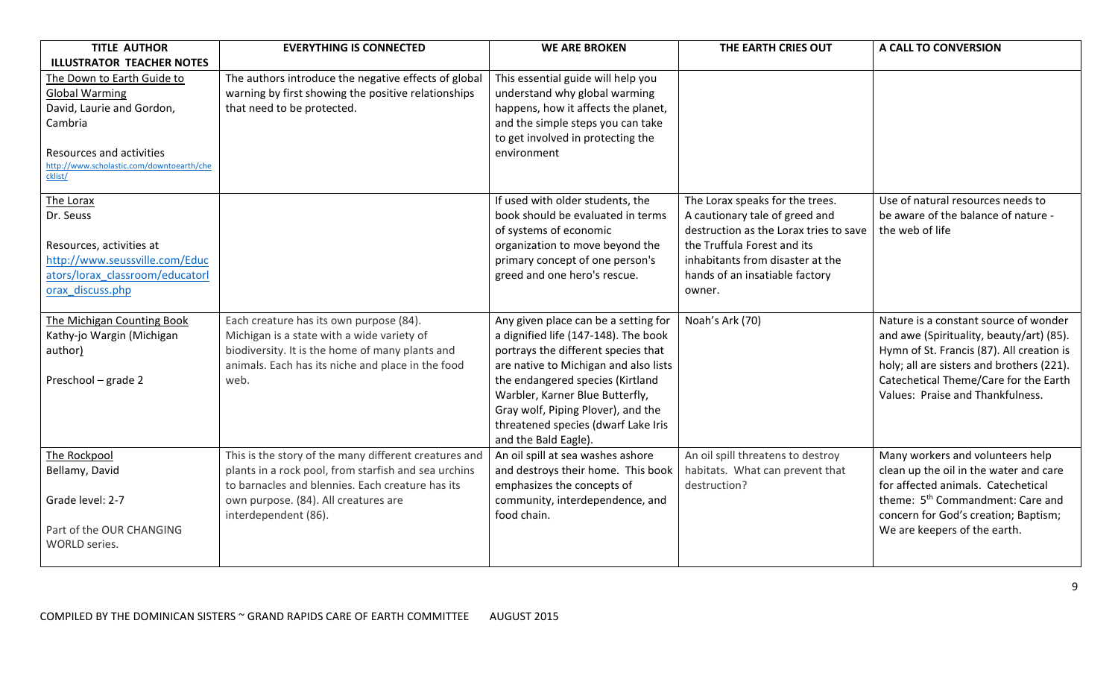| <b>TITLE AUTHOR</b>                                                                                                                                                                                                 | <b>EVERYTHING IS CONNECTED</b>                                                                                                                                                                        | <b>WE ARE BROKEN</b>                                                                                                                                                                                                                                                                                                                     | THE EARTH CRIES OUT                                                                                                                                                                                                        | A CALL TO CONVERSION                                                                                                                                                                                                                                     |
|---------------------------------------------------------------------------------------------------------------------------------------------------------------------------------------------------------------------|-------------------------------------------------------------------------------------------------------------------------------------------------------------------------------------------------------|------------------------------------------------------------------------------------------------------------------------------------------------------------------------------------------------------------------------------------------------------------------------------------------------------------------------------------------|----------------------------------------------------------------------------------------------------------------------------------------------------------------------------------------------------------------------------|----------------------------------------------------------------------------------------------------------------------------------------------------------------------------------------------------------------------------------------------------------|
| <b>ILLUSTRATOR TEACHER NOTES</b><br>The Down to Earth Guide to<br><b>Global Warming</b><br>David, Laurie and Gordon,<br>Cambria<br>Resources and activities<br>http://www.scholastic.com/downtoearth/che<br>cklist/ | The authors introduce the negative effects of global<br>warning by first showing the positive relationships<br>that need to be protected.                                                             | This essential guide will help you<br>understand why global warming<br>happens, how it affects the planet,<br>and the simple steps you can take<br>to get involved in protecting the<br>environment                                                                                                                                      |                                                                                                                                                                                                                            |                                                                                                                                                                                                                                                          |
| The Lorax<br>Dr. Seuss<br>Resources, activities at<br>http://www.seussville.com/Educ<br>ators/lorax classroom/educatorl<br>orax_discuss.php                                                                         |                                                                                                                                                                                                       | If used with older students, the<br>book should be evaluated in terms<br>of systems of economic<br>organization to move beyond the<br>primary concept of one person's<br>greed and one hero's rescue.                                                                                                                                    | The Lorax speaks for the trees.<br>A cautionary tale of greed and<br>destruction as the Lorax tries to save<br>the Truffula Forest and its<br>inhabitants from disaster at the<br>hands of an insatiable factory<br>owner. | Use of natural resources needs to<br>be aware of the balance of nature -<br>the web of life                                                                                                                                                              |
| The Michigan Counting Book<br>Kathy-jo Wargin (Michigan<br>author)<br>Preschool - grade 2                                                                                                                           | Each creature has its own purpose (84).<br>Michigan is a state with a wide variety of<br>biodiversity. It is the home of many plants and<br>animals. Each has its niche and place in the food<br>web. | Any given place can be a setting for<br>a dignified life (147-148). The book<br>portrays the different species that<br>are native to Michigan and also lists<br>the endangered species (Kirtland<br>Warbler, Karner Blue Butterfly,<br>Gray wolf, Piping Plover), and the<br>threatened species (dwarf Lake Iris<br>and the Bald Eagle). | Noah's Ark (70)                                                                                                                                                                                                            | Nature is a constant source of wonder<br>and awe (Spirituality, beauty/art) (85).<br>Hymn of St. Francis (87). All creation is<br>holy; all are sisters and brothers (221).<br>Catechetical Theme/Care for the Earth<br>Values: Praise and Thankfulness. |
| The Rockpool<br>Bellamy, David                                                                                                                                                                                      | This is the story of the many different creatures and<br>plants in a rock pool, from starfish and sea urchins<br>to barnacles and blennies. Each creature has its                                     | An oil spill at sea washes ashore<br>and destroys their home. This book<br>emphasizes the concepts of                                                                                                                                                                                                                                    | An oil spill threatens to destroy<br>habitats. What can prevent that<br>destruction?                                                                                                                                       | Many workers and volunteers help<br>clean up the oil in the water and care<br>for affected animals. Catechetical                                                                                                                                         |
| Grade level: 2-7<br>Part of the OUR CHANGING<br><b>WORLD</b> series.                                                                                                                                                | own purpose. (84). All creatures are<br>interdependent (86).                                                                                                                                          | community, interdependence, and<br>food chain.                                                                                                                                                                                                                                                                                           |                                                                                                                                                                                                                            | theme: 5 <sup>th</sup> Commandment: Care and<br>concern for God's creation; Baptism;<br>We are keepers of the earth.                                                                                                                                     |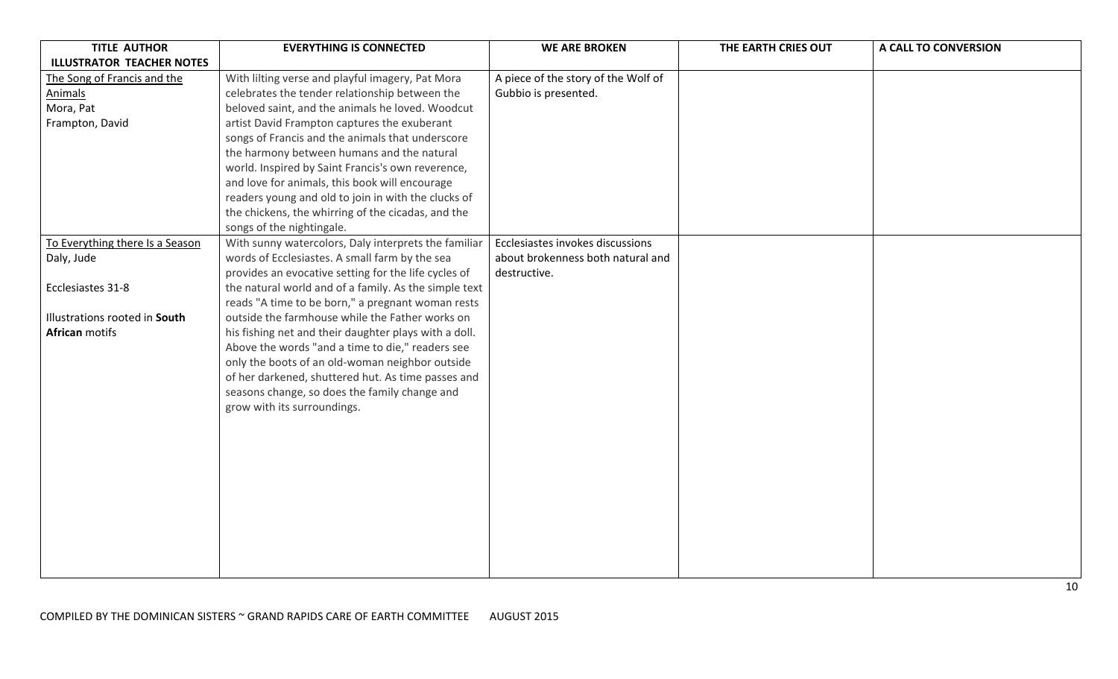| <b>TITLE AUTHOR</b>              | <b>EVERYTHING IS CONNECTED</b>                        | <b>WE ARE BROKEN</b>                | THE EARTH CRIES OUT | A CALL TO CONVERSION |
|----------------------------------|-------------------------------------------------------|-------------------------------------|---------------------|----------------------|
| <b>ILLUSTRATOR TEACHER NOTES</b> |                                                       |                                     |                     |                      |
| The Song of Francis and the      | With lilting verse and playful imagery, Pat Mora      | A piece of the story of the Wolf of |                     |                      |
| <b>Animals</b>                   | celebrates the tender relationship between the        | Gubbio is presented.                |                     |                      |
| Mora, Pat                        | beloved saint, and the animals he loved. Woodcut      |                                     |                     |                      |
| Frampton, David                  | artist David Frampton captures the exuberant          |                                     |                     |                      |
|                                  | songs of Francis and the animals that underscore      |                                     |                     |                      |
|                                  | the harmony between humans and the natural            |                                     |                     |                      |
|                                  | world. Inspired by Saint Francis's own reverence,     |                                     |                     |                      |
|                                  | and love for animals, this book will encourage        |                                     |                     |                      |
|                                  | readers young and old to join in with the clucks of   |                                     |                     |                      |
|                                  | the chickens, the whirring of the cicadas, and the    |                                     |                     |                      |
|                                  | songs of the nightingale.                             |                                     |                     |                      |
| To Everything there Is a Season  | With sunny watercolors, Daly interprets the familiar  | Ecclesiastes invokes discussions    |                     |                      |
| Daly, Jude                       | words of Ecclesiastes. A small farm by the sea        | about brokenness both natural and   |                     |                      |
|                                  | provides an evocative setting for the life cycles of  | destructive.                        |                     |                      |
| Ecclesiastes 31-8                | the natural world and of a family. As the simple text |                                     |                     |                      |
|                                  | reads "A time to be born," a pregnant woman rests     |                                     |                     |                      |
| Illustrations rooted in South    | outside the farmhouse while the Father works on       |                                     |                     |                      |
| <b>African</b> motifs            | his fishing net and their daughter plays with a doll. |                                     |                     |                      |
|                                  | Above the words "and a time to die," readers see      |                                     |                     |                      |
|                                  | only the boots of an old-woman neighbor outside       |                                     |                     |                      |
|                                  | of her darkened, shuttered hut. As time passes and    |                                     |                     |                      |
|                                  | seasons change, so does the family change and         |                                     |                     |                      |
|                                  | grow with its surroundings.                           |                                     |                     |                      |
|                                  |                                                       |                                     |                     |                      |
|                                  |                                                       |                                     |                     |                      |
|                                  |                                                       |                                     |                     |                      |
|                                  |                                                       |                                     |                     |                      |
|                                  |                                                       |                                     |                     |                      |
|                                  |                                                       |                                     |                     |                      |
|                                  |                                                       |                                     |                     |                      |
|                                  |                                                       |                                     |                     |                      |
|                                  |                                                       |                                     |                     |                      |
|                                  |                                                       |                                     |                     |                      |
|                                  |                                                       |                                     |                     |                      |